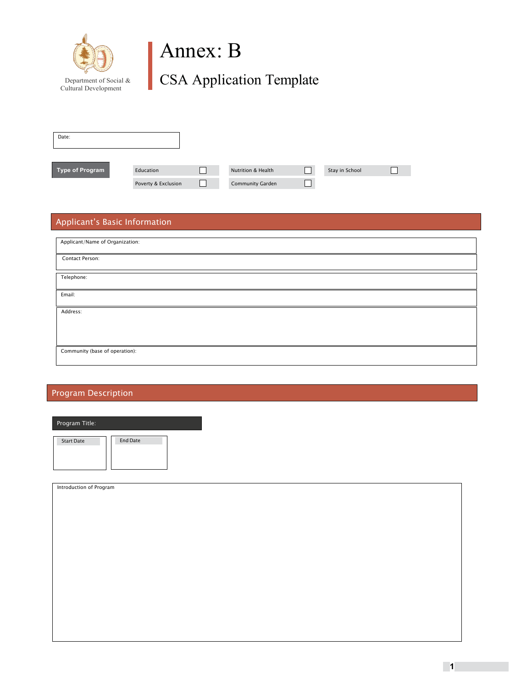

## Department of Social & CSA Application Template

| Date:           |                     |                         |                |  |
|-----------------|---------------------|-------------------------|----------------|--|
|                 |                     |                         |                |  |
| Type of Program | Education           | Nutrition & Health      | Stay in School |  |
|                 | Poverty & Exclusion | <b>Community Garden</b> |                |  |

#### Applicant's Basic Information

| Applicant/Name of Organization: |  |  |
|---------------------------------|--|--|
| Contact Person:                 |  |  |
| Telephone:                      |  |  |
| Email:                          |  |  |
| Address:                        |  |  |
|                                 |  |  |
| Community (base of operation):  |  |  |

#### Program Description

| Program Title:    |                 |
|-------------------|-----------------|
| <b>Start Date</b> | <b>End Date</b> |

| Introduction of Program |
|-------------------------|
|                         |
|                         |
|                         |
|                         |
|                         |
|                         |
|                         |
|                         |
|                         |
|                         |
|                         |
|                         |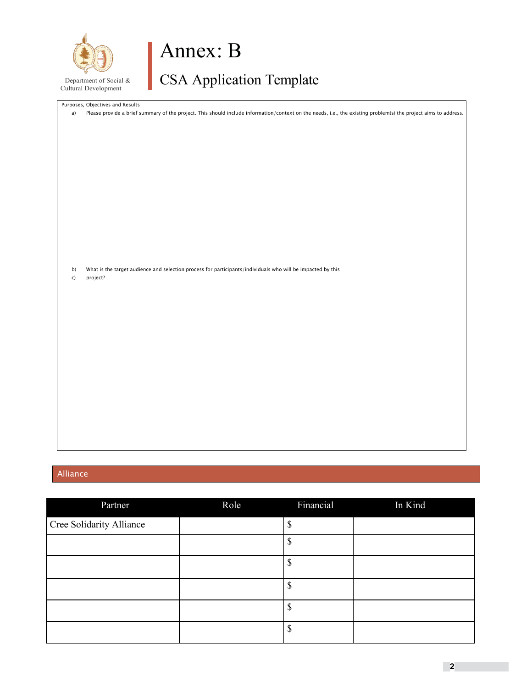

# Department of Social & CSA Application Template

|              | Purposes, Objectives and Results                                                                                                                                |
|--------------|-----------------------------------------------------------------------------------------------------------------------------------------------------------------|
| a)           | Please provide a brief summary of the project. This should include information/context on the needs, i.e., the existing problem(s) the project aims to address. |
|              |                                                                                                                                                                 |
|              |                                                                                                                                                                 |
|              |                                                                                                                                                                 |
|              |                                                                                                                                                                 |
|              |                                                                                                                                                                 |
|              |                                                                                                                                                                 |
|              |                                                                                                                                                                 |
|              |                                                                                                                                                                 |
|              |                                                                                                                                                                 |
|              |                                                                                                                                                                 |
|              |                                                                                                                                                                 |
|              |                                                                                                                                                                 |
|              |                                                                                                                                                                 |
|              |                                                                                                                                                                 |
|              |                                                                                                                                                                 |
|              |                                                                                                                                                                 |
| b)           | What is the target audience and selection process for participants/individuals who will be impacted by this                                                     |
| $\mathsf{C}$ | project?                                                                                                                                                        |
|              |                                                                                                                                                                 |
|              |                                                                                                                                                                 |
|              |                                                                                                                                                                 |
|              |                                                                                                                                                                 |
|              |                                                                                                                                                                 |
|              |                                                                                                                                                                 |
|              |                                                                                                                                                                 |
|              |                                                                                                                                                                 |
|              |                                                                                                                                                                 |
|              |                                                                                                                                                                 |
|              |                                                                                                                                                                 |
|              |                                                                                                                                                                 |
|              |                                                                                                                                                                 |
|              |                                                                                                                                                                 |
|              |                                                                                                                                                                 |
|              |                                                                                                                                                                 |
|              |                                                                                                                                                                 |
|              |                                                                                                                                                                 |
|              |                                                                                                                                                                 |

#### Alliance

| Partner                  | Role | Financial | In Kind |
|--------------------------|------|-----------|---------|
| Cree Solidarity Alliance |      | \$        |         |
|                          |      | \$        |         |
|                          |      | \$        |         |
|                          |      | S         |         |
|                          |      | \$        |         |
|                          |      | \$        |         |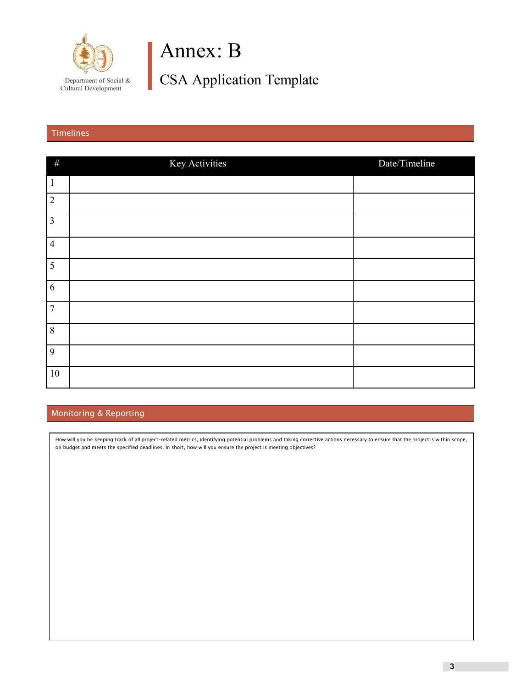

Department of Social & CSA Application Template

#### Timelines

| $\#$           | Key Activities | Date/Timeline |
|----------------|----------------|---------------|
| $\mathbf{1}$   |                |               |
| $\overline{2}$ |                |               |
| $\mathfrak{Z}$ |                |               |
| $\overline{4}$ |                |               |
| 5              |                |               |
| 6              |                |               |
| $\overline{7}$ |                |               |
| 8              |                |               |
| 9              |                |               |
| $10\,$         |                |               |

#### Monitoring & Reporting

How will you be keeping track of all project-related metrics, identifying potential problems and taking corrective actions necessary to ensure that the project is within scope, on budget and meets the specified deadlines. In short, how will you ensure the project is meeting objectives?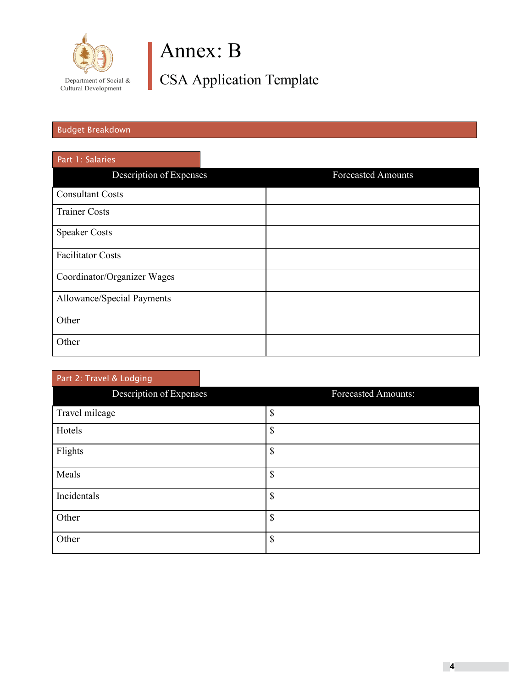

Department of Social & CSA Application Template

#### Budget Breakdown

| Part 1: Salaries            |                           |
|-----------------------------|---------------------------|
| Description of Expenses     | <b>Forecasted Amounts</b> |
| <b>Consultant Costs</b>     |                           |
| <b>Trainer Costs</b>        |                           |
| <b>Speaker Costs</b>        |                           |
| <b>Facilitator Costs</b>    |                           |
| Coordinator/Organizer Wages |                           |
| Allowance/Special Payments  |                           |
| Other                       |                           |
| Other                       |                           |

### Description of Expenses Forecasted Amounts: Travel mileage  $\boxed{\$}$ Hotels  $\sim$ Flights  $\boxed{\$}$  $\blacksquare$   $\blacksquare$ Incidentals  $\boxed{\$}$ Other  $\vert \mathcal{S} \vert$ Other  $\sim$ Part 2: Travel & Lodging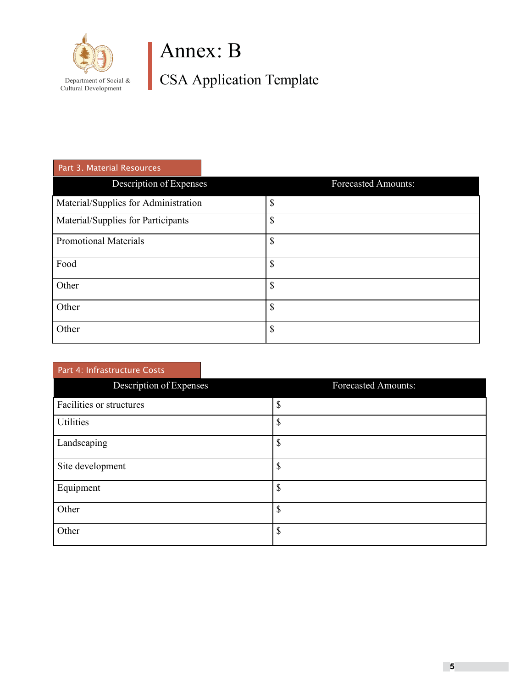

Department of Social & CSA Application Template

| Part 3. Material Resources           |                            |
|--------------------------------------|----------------------------|
| Description of Expenses              | <b>Forecasted Amounts:</b> |
| Material/Supplies for Administration | \$                         |
| Material/Supplies for Participants   | \$                         |
| <b>Promotional Materials</b>         | \$                         |
| Food                                 | \$                         |
| Other                                | \$                         |
| Other                                | \$                         |
| Other                                | \$                         |

| Part 4: Infrastructure Costs |                            |
|------------------------------|----------------------------|
| Description of Expenses      | <b>Forecasted Amounts:</b> |
| Facilities or structures     | ዕ<br>J                     |
| Utilities                    | \$                         |
| Landscaping                  | \$                         |
| Site development             | \$                         |
| Equipment                    | \$                         |
| Other                        | \$                         |
| Other                        | \$                         |